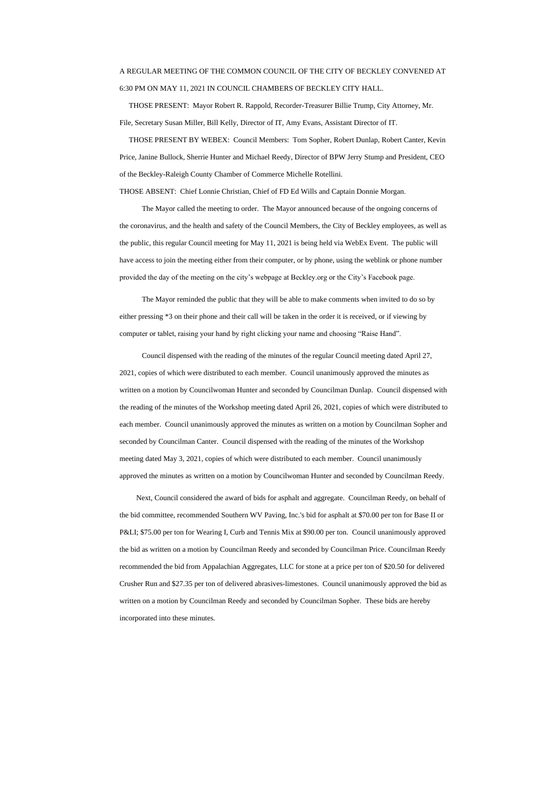## A REGULAR MEETING OF THE COMMON COUNCIL OF THE CITY OF BECKLEY CONVENED AT 6:30 PM ON MAY 11, 2021 IN COUNCIL CHAMBERS OF BECKLEY CITY HALL.

 THOSE PRESENT: Mayor Robert R. Rappold, Recorder-Treasurer Billie Trump, City Attorney, Mr. File, Secretary Susan Miller, Bill Kelly, Director of IT, Amy Evans, Assistant Director of IT.

 THOSE PRESENT BY WEBEX: Council Members: Tom Sopher, Robert Dunlap, Robert Canter, Kevin Price, Janine Bullock, Sherrie Hunter and Michael Reedy, Director of BPW Jerry Stump and President, CEO of the Beckley-Raleigh County Chamber of Commerce Michelle Rotellini.

THOSE ABSENT: Chief Lonnie Christian, Chief of FD Ed Wills and Captain Donnie Morgan.

The Mayor called the meeting to order. The Mayor announced because of the ongoing concerns of the coronavirus, and the health and safety of the Council Members, the City of Beckley employees, as well as the public, this regular Council meeting for May 11, 2021 is being held via WebEx Event. The public will have access to join the meeting either from their computer, or by phone, using the weblink or phone number provided the day of the meeting on the city's webpage at Beckley.org or the City's Facebook page.

The Mayor reminded the public that they will be able to make comments when invited to do so by either pressing \*3 on their phone and their call will be taken in the order it is received, or if viewing by computer or tablet, raising your hand by right clicking your name and choosing "Raise Hand".

 Council dispensed with the reading of the minutes of the regular Council meeting dated April 27, 2021, copies of which were distributed to each member. Council unanimously approved the minutes as written on a motion by Councilwoman Hunter and seconded by Councilman Dunlap. Council dispensed with the reading of the minutes of the Workshop meeting dated April 26, 2021, copies of which were distributed to each member. Council unanimously approved the minutes as written on a motion by Councilman Sopher and seconded by Councilman Canter. Council dispensed with the reading of the minutes of the Workshop meeting dated May 3, 2021, copies of which were distributed to each member. Council unanimously approved the minutes as written on a motion by Councilwoman Hunter and seconded by Councilman Reedy.

 Next, Council considered the award of bids for asphalt and aggregate. Councilman Reedy, on behalf of the bid committee, recommended Southern WV Paving, Inc.'s bid for asphalt at \$70.00 per ton for Base II or P&LI; \$75.00 per ton for Wearing I, Curb and Tennis Mix at \$90.00 per ton. Council unanimously approved the bid as written on a motion by Councilman Reedy and seconded by Councilman Price. Councilman Reedy

recommended the bid from Appalachian Aggregates, LLC for stone at a price per ton of \$20.50 for delivered

Crusher Run and \$27.35 per ton of delivered abrasives-limestones. Council unanimously approved the bid as

written on a motion by Councilman Reedy and seconded by Councilman Sopher. These bids are hereby

incorporated into these minutes.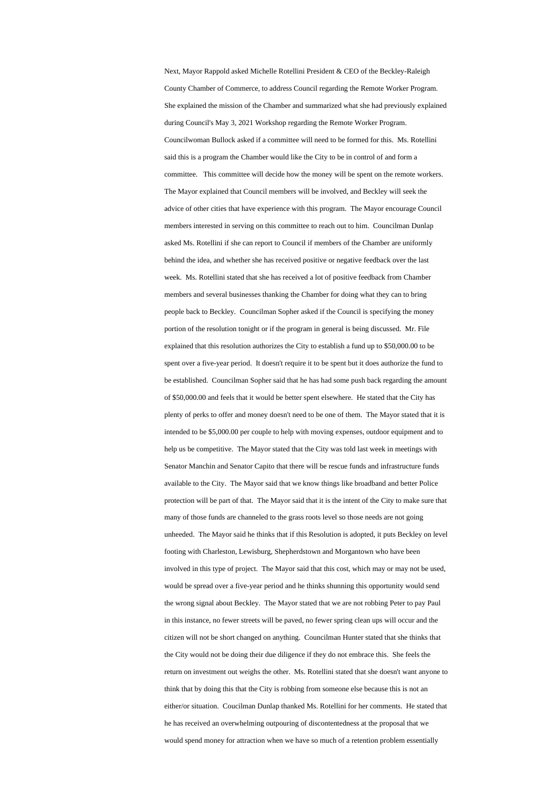Next, Mayor Rappold asked Michelle Rotellini President & CEO of the Beckley-Raleigh County Chamber of Commerce, to address Council regarding the Remote Worker Program. She explained the mission of the Chamber and summarized what she had previously explained during Council's May 3, 2021 Workshop regarding the Remote Worker Program. Councilwoman Bullock asked if a committee will need to be formed for this. Ms. Rotellini said this is a program the Chamber would like the City to be in control of and form a committee. This committee will decide how the money will be spent on the remote workers. The Mayor explained that Council members will be involved, and Beckley will seek the advice of other cities that have experience with this program. The Mayor encourage Council members interested in serving on this committee to reach out to him. Councilman Dunlap asked Ms. Rotellini if she can report to Council if members of the Chamber are uniformly behind the idea, and whether she has received positive or negative feedback over the last week. Ms. Rotellini stated that she has received a lot of positive feedback from Chamber members and several businesses thanking the Chamber for doing what they can to bring people back to Beckley. Councilman Sopher asked if the Council is specifying the money portion of the resolution tonight or if the program in general is being discussed. Mr. File explained that this resolution authorizes the City to establish a fund up to \$50,000.00 to be spent over a five-year period. It doesn't require it to be spent but it does authorize the fund to be established. Councilman Sopher said that he has had some push back regarding the amount of \$50,000.00 and feels that it would be better spent elsewhere. He stated that the City has plenty of perks to offer and money doesn't need to be one of them. The Mayor stated that it is intended to be \$5,000.00 per couple to help with moving expenses, outdoor equipment and to help us be competitive. The Mayor stated that the City was told last week in meetings with Senator Manchin and Senator Capito that there will be rescue funds and infrastructure funds available to the City. The Mayor said that we know things like broadband and better Police protection will be part of that. The Mayor said that it is the intent of the City to make sure that many of those funds are channeled to the grass roots level so those needs are not going unheeded. The Mayor said he thinks that if this Resolution is adopted, it puts Beckley on level footing with Charleston, Lewisburg, Shepherdstown and Morgantown who have been

involved in this type of project. The Mayor said that this cost, which may or may not be used, would be spread over a five-year period and he thinks shunning this opportunity would send the wrong signal about Beckley. The Mayor stated that we are not robbing Peter to pay Paul in this instance, no fewer streets will be paved, no fewer spring clean ups will occur and the citizen will not be short changed on anything. Councilman Hunter stated that she thinks that the City would not be doing their due diligence if they do not embrace this. She feels the return on investment out weighs the other. Ms. Rotellini stated that she doesn't want anyone to think that by doing this that the City is robbing from someone else because this is not an either/or situation. Coucilman Dunlap thanked Ms. Rotellini for her comments. He stated that he has received an overwhelming outpouring of discontentedness at the proposal that we would spend money for attraction when we have so much of a retention problem essentially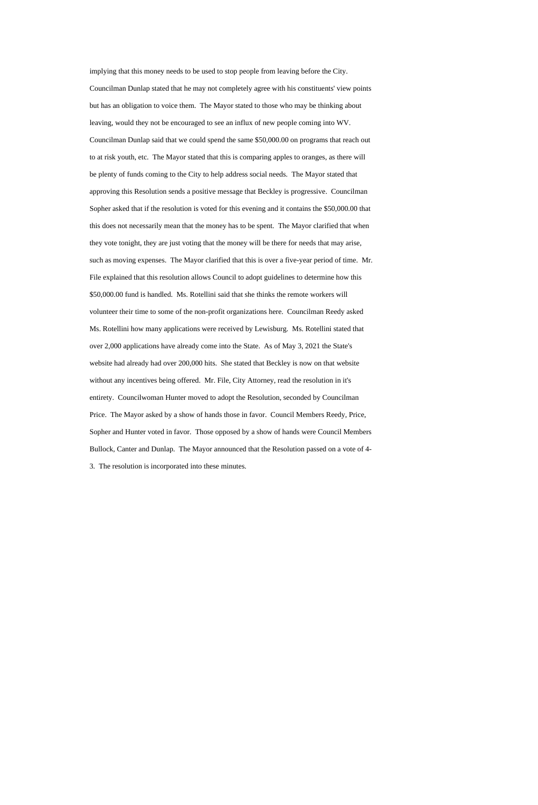implying that this money needs to be used to stop people from leaving before the City. Councilman Dunlap stated that he may not completely agree with his constituents' view points but has an obligation to voice them. The Mayor stated to those who may be thinking about leaving, would they not be encouraged to see an influx of new people coming into WV. Councilman Dunlap said that we could spend the same \$50,000.00 on programs that reach out to at risk youth, etc. The Mayor stated that this is comparing apples to oranges, as there will be plenty of funds coming to the City to help address social needs. The Mayor stated that approving this Resolution sends a positive message that Beckley is progressive. Councilman Sopher asked that if the resolution is voted for this evening and it contains the \$50,000.00 that this does not necessarily mean that the money has to be spent. The Mayor clarified that when they vote tonight, they are just voting that the money will be there for needs that may arise, such as moving expenses. The Mayor clarified that this is over a five-year period of time. Mr. File explained that this resolution allows Council to adopt guidelines to determine how this \$50,000.00 fund is handled. Ms. Rotellini said that she thinks the remote workers will volunteer their time to some of the non-profit organizations here. Councilman Reedy asked Ms. Rotellini how many applications were received by Lewisburg. Ms. Rotellini stated that over 2,000 applications have already come into the State. As of May 3, 2021 the State's website had already had over 200,000 hits. She stated that Beckley is now on that website without any incentives being offered. Mr. File, City Attorney, read the resolution in it's entirety. Councilwoman Hunter moved to adopt the Resolution, seconded by Councilman Price. The Mayor asked by a show of hands those in favor. Council Members Reedy, Price, Sopher and Hunter voted in favor. Those opposed by a show of hands were Council Members Bullock, Canter and Dunlap. The Mayor announced that the Resolution passed on a vote of 4- 3. The resolution is incorporated into these minutes.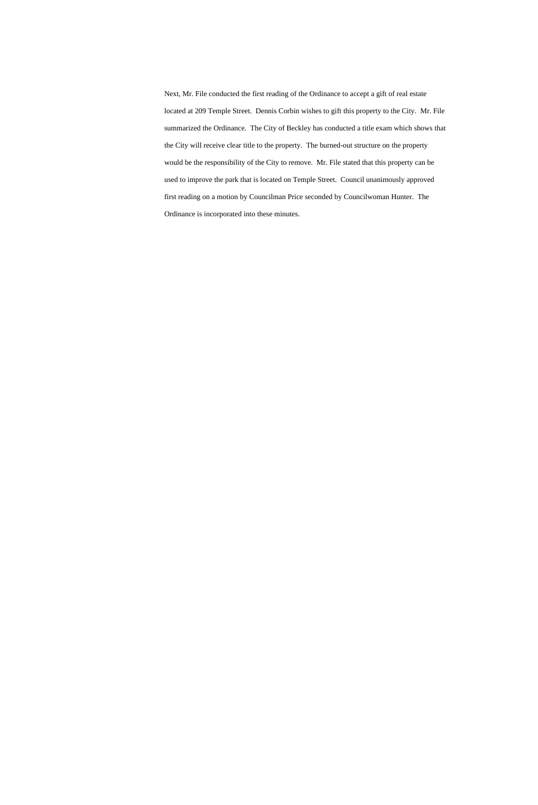Next, Mr. File conducted the first reading of the Ordinance to accept a gift of real estate located at 209 Temple Street. Dennis Corbin wishes to gift this property to the City. Mr. File summarized the Ordinance. The City of Beckley has conducted a title exam which shows that the City will receive clear title to the property. The burned-out structure on the property would be the responsibility of the City to remove. Mr. File stated that this property can be used to improve the park that is located on Temple Street. Council unanimously approved first reading on a motion by Councilman Price seconded by Councilwoman Hunter. The Ordinance is incorporated into these minutes.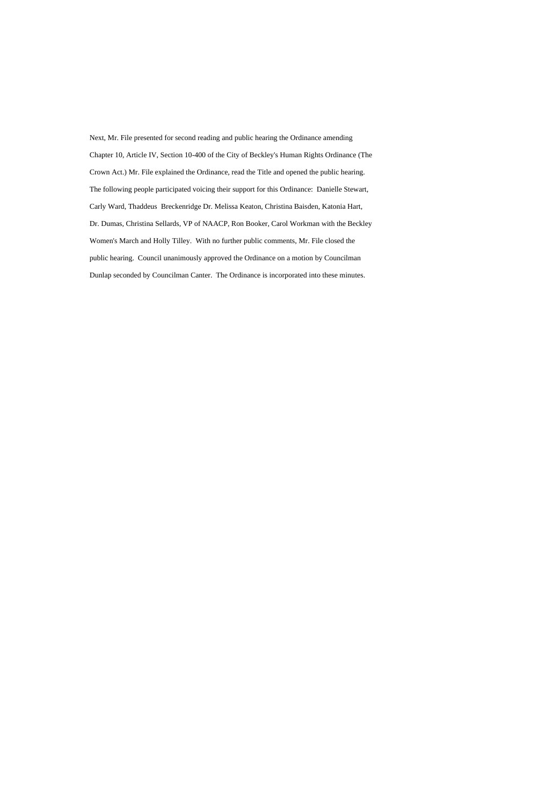Next, Mr. File presented for second reading and public hearing the Ordinance amending Chapter 10, Article IV, Section 10-400 of the City of Beckley's Human Rights Ordinance (The Crown Act.) Mr. File explained the Ordinance, read the Title and opened the public hearing. The following people participated voicing their support for this Ordinance: Danielle Stewart, Carly Ward, Thaddeus Breckenridge Dr. Melissa Keaton, Christina Baisden, Katonia Hart, Dr. Dumas, Christina Sellards, VP of NAACP, Ron Booker, Carol Workman with the Beckley Women's March and Holly Tilley. With no further public comments, Mr. File closed the public hearing. Council unanimously approved the Ordinance on a motion by Councilman Dunlap seconded by Councilman Canter. The Ordinance is incorporated into these minutes.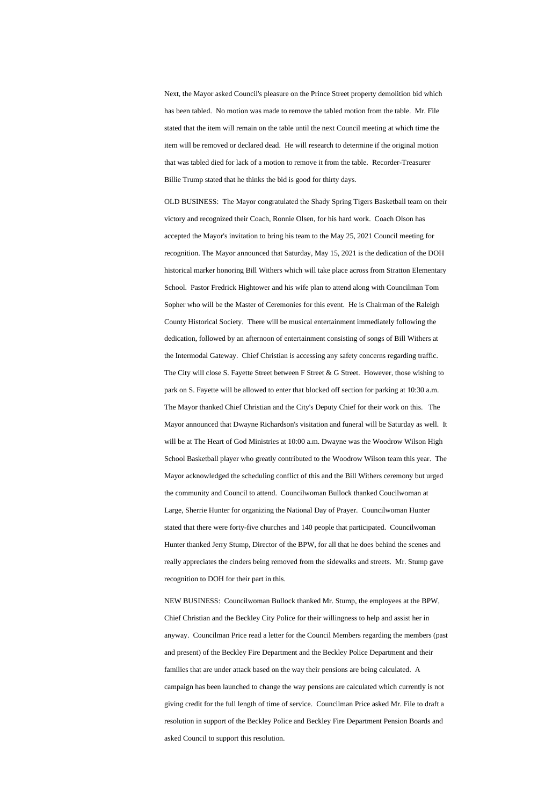Next, the Mayor asked Council's pleasure on the Prince Street property demolition bid which has been tabled. No motion was made to remove the tabled motion from the table. Mr. File stated that the item will remain on the table until the next Council meeting at which time the item will be removed or declared dead. He will research to determine if the original motion that was tabled died for lack of a motion to remove it from the table. Recorder-Treasurer Billie Trump stated that he thinks the bid is good for thirty days.

OLD BUSINESS: The Mayor congratulated the Shady Spring Tigers Basketball team on their victory and recognized their Coach, Ronnie Olsen, for his hard work. Coach Olson has accepted the Mayor's invitation to bring his team to the May 25, 2021 Council meeting for recognition. The Mayor announced that Saturday, May 15, 2021 is the dedication of the DOH historical marker honoring Bill Withers which will take place across from Stratton Elementary School. Pastor Fredrick Hightower and his wife plan to attend along with Councilman Tom Sopher who will be the Master of Ceremonies for this event. He is Chairman of the Raleigh County Historical Society. There will be musical entertainment immediately following the dedication, followed by an afternoon of entertainment consisting of songs of Bill Withers at the Intermodal Gateway. Chief Christian is accessing any safety concerns regarding traffic. The City will close S. Fayette Street between F Street & G Street. However, those wishing to park on S. Fayette will be allowed to enter that blocked off section for parking at 10:30 a.m. The Mayor thanked Chief Christian and the City's Deputy Chief for their work on this. The Mayor announced that Dwayne Richardson's visitation and funeral will be Saturday as well. It will be at The Heart of God Ministries at 10:00 a.m. Dwayne was the Woodrow Wilson High School Basketball player who greatly contributed to the Woodrow Wilson team this year. The Mayor acknowledged the scheduling conflict of this and the Bill Withers ceremony but urged the community and Council to attend. Councilwoman Bullock thanked Coucilwoman at Large, Sherrie Hunter for organizing the National Day of Prayer. Councilwoman Hunter stated that there were forty-five churches and 140 people that participated. Councilwoman Hunter thanked Jerry Stump, Director of the BPW, for all that he does behind the scenes and

really appreciates the cinders being removed from the sidewalks and streets. Mr. Stump gave recognition to DOH for their part in this.

NEW BUSINESS: Councilwoman Bullock thanked Mr. Stump, the employees at the BPW, Chief Christian and the Beckley City Police for their willingness to help and assist her in anyway. Councilman Price read a letter for the Council Members regarding the members (past and present) of the Beckley Fire Department and the Beckley Police Department and their families that are under attack based on the way their pensions are being calculated. A campaign has been launched to change the way pensions are calculated which currently is not giving credit for the full length of time of service. Councilman Price asked Mr. File to draft a resolution in support of the Beckley Police and Beckley Fire Department Pension Boards and asked Council to support this resolution.